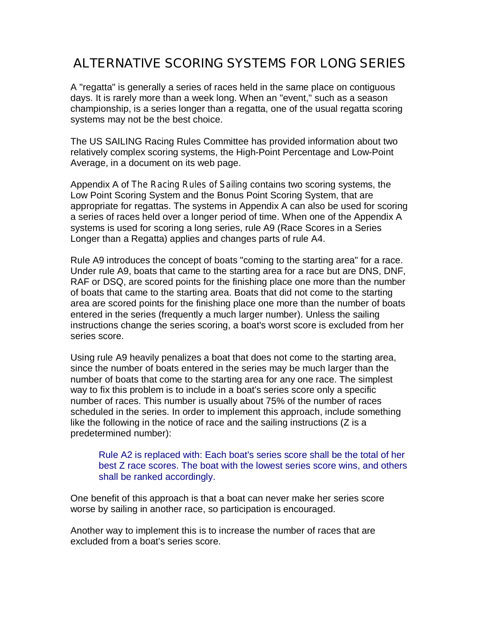# **ALTERNATIVE SCORING SYSTEMS FOR LONG SERIES**

A "regatta" is generally a series of races held in the same place on contiguous days. It is rarely more than a week long. When an "event," such as a season championship, is a series longer than a regatta, one of the usual regatta scoring systems may not be the best choice.

The US SAILING Racing Rules Committee has provided information about two relatively complex scoring systems, the High-Point Percentage and Low-Point Average, in a document on its web page.

Appendix A of *The Racing Rules of Sailing* contains two scoring systems, the Low Point Scoring System and the Bonus Point Scoring System, that are appropriate for regattas. The systems in Appendix A can also be used for scoring a series of races held over a longer period of time. When one of the Appendix A systems is used for scoring a long series, rule A9 (Race Scores in a Series Longer than a Regatta) applies and changes parts of rule A4.

Rule A9 introduces the concept of boats "coming to the starting area" for a race. Under rule A9, boats that came to the starting area for a race but are DNS, DNF, RAF or DSQ, are scored points for the finishing place one more than the number of boats that came to the starting area. Boats that did not come to the starting area are scored points for the finishing place one more than the number of boats entered in the series (frequently a much larger number). Unless the sailing instructions change the series scoring, a boat's worst score is excluded from her series score.

Using rule A9 heavily penalizes a boat that does not come to the starting area, since the number of boats entered in the series may be much larger than the number of boats that come to the starting area for any one race. The simplest way to fix this problem is to include in a boat's series score only a specific number of races. This number is usually about 75% of the number of races scheduled in the series. In order to implement this approach, include something like the following in the notice of race and the sailing instructions (Z is a predetermined number):

Rule A2 is replaced with: Each boat's series score shall be the total of her best Z race scores. The boat with the lowest series score wins, and others shall be ranked accordingly.

One benefit of this approach is that a boat can never make her series score worse by sailing in another race, so participation is encouraged.

Another way to implement this is to increase the number of races that are excluded from a boat's series score.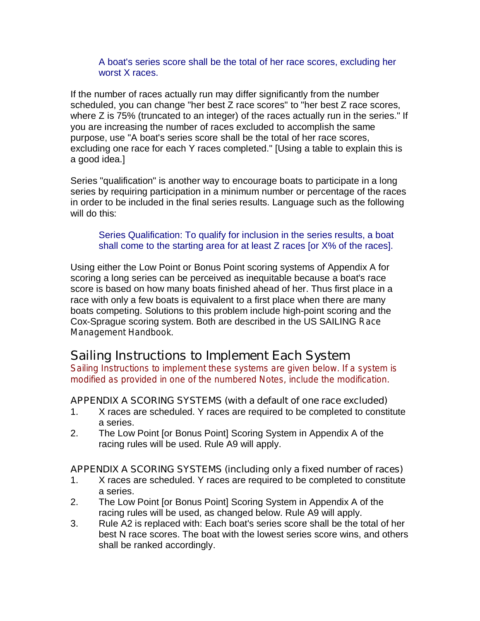A boat's series score shall be the total of her race scores, excluding her worst X races.

If the number of races actually run may differ significantly from the number scheduled, you can change "her best Z race scores" to "her best Z race scores, where Z is 75% (truncated to an integer) of the races actually run in the series." If you are increasing the number of races excluded to accomplish the same purpose, use "A boat's series score shall be the total of her race scores, excluding one race for each Y races completed." [Using a table to explain this is a good idea.]

Series "qualification" is another way to encourage boats to participate in a long series by requiring participation in a minimum number or percentage of the races in order to be included in the final series results. Language such as the following will do this:

Series Qualification: To qualify for inclusion in the series results, a boat shall come to the starting area for at least Z races [or X% of the races].

Using either the Low Point or Bonus Point scoring systems of Appendix A for scoring a long series can be perceived as inequitable because a boat's race score is based on how many boats finished ahead of her. Thus first place in a race with only a few boats is equivalent to a first place when there are many boats competing. Solutions to this problem include high-point scoring and the Cox-Sprague scoring system. Both are described in the US SAILING *Race Management Handbook*.

# **Sailing Instructions to Implement Each System**

*Sailing Instructions to implement these systems are given below. If a system is modified as provided in one of the numbered Notes, include the modification.*

### **APPENDIX A SCORING SYSTEMS (with a default of one race excluded)**

- 1. X races are scheduled. Y races are required to be completed to constitute a series.
- 2. The Low Point [or Bonus Point] Scoring System in Appendix A of the racing rules will be used. Rule A9 will apply.

### **APPENDIX A SCORING SYSTEMS (including only a fixed number of races)**

- 1. X races are scheduled. Y races are required to be completed to constitute a series.
- 2. The Low Point [or Bonus Point] Scoring System in Appendix A of the racing rules will be used, as changed below. Rule A9 will apply.
- 3. Rule A2 is replaced with: Each boat's series score shall be the total of her best N race scores. The boat with the lowest series score wins, and others shall be ranked accordingly.